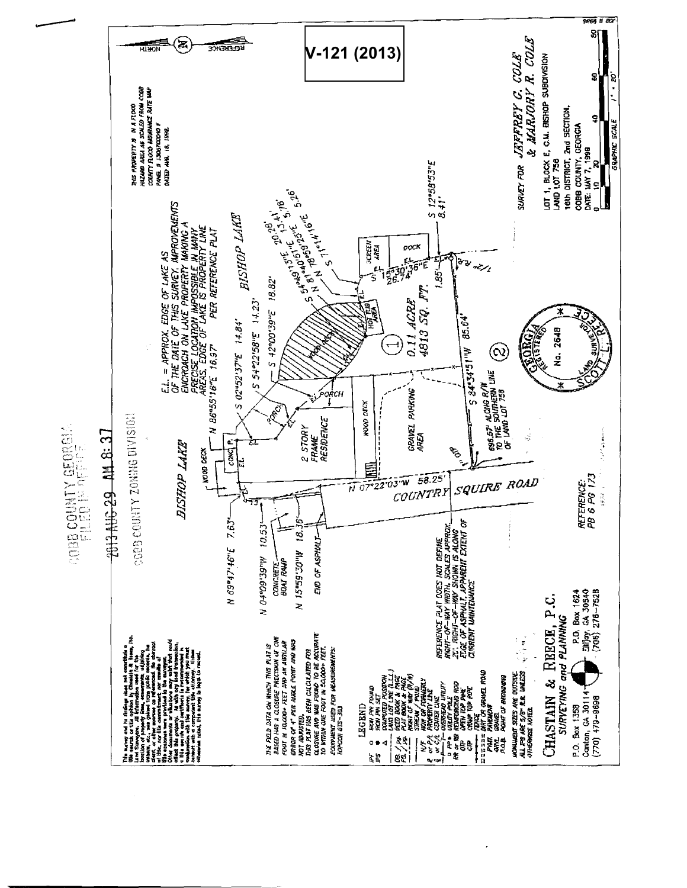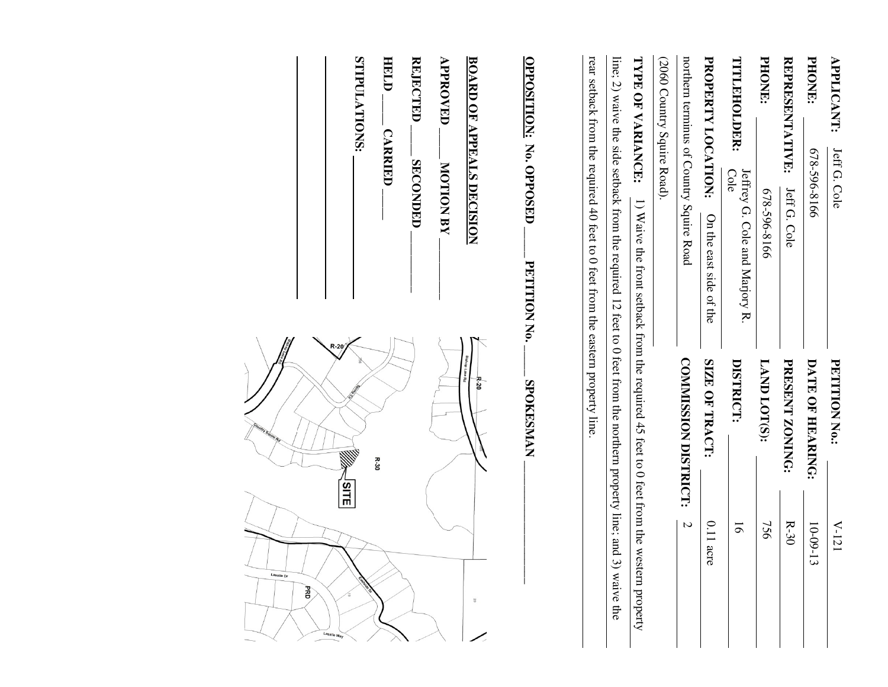| <b>APPLICANT:</b>              | Jeff G. Cole                                                                                              | <b>PETITION No.:</b>                                                                     | $V$ -121                   |
|--------------------------------|-----------------------------------------------------------------------------------------------------------|------------------------------------------------------------------------------------------|----------------------------|
| PHONE.                         | 678-596-8166                                                                                              | DATE OF HEARING:                                                                         | $10-09-$<br>$\overline{3}$ |
| REPRESENTATIVE:                | Jeff G. Cole                                                                                              | PRESENT ZONING:                                                                          | $R-30$                     |
| <b>PHONE:</b>                  | 678-596-8166                                                                                              | LAND LOT(S):                                                                             | 756                        |
| TITLEHOLDER:                   | Jeffrey G. Cole and Marjory R<br>Cole                                                                     | DISTRICT:                                                                                | $\overline{6}$             |
| PROPERTY LOCATION:             | On the east side of the                                                                                   | SIZE OF TRACT:                                                                           | $0.11$ acre                |
|                                | northern terminus of Country Squire Road                                                                  | <b>COMMISSION DISTRICT:</b>                                                              | $\overline{C}$             |
| (2060 Country Squire Road).    |                                                                                                           |                                                                                          |                            |
| TYPE OF VARIANCE:              |                                                                                                           | 1) Waive the front setback from the required 45 feet to 0 feet from the western property |                            |
|                                | iine; 2) waive the side setback from the required 12 feet to $0$ feet from the nothern property line; and |                                                                                          | 3) waive the               |
|                                | rear setback from the required 40 feet to 0 feet from the eastern property line                           |                                                                                          |                            |
| <b>OPPOSITION: No. OPPOSED</b> | PETITION No.                                                                                              | <b>SPOKESMAN</b>                                                                         |                            |
|                                | <b>BOARD OF APPEALS DECISION</b>                                                                          | <b>Bishop Lake Rd</b><br>R-20                                                            | $\overline{0}$             |
| <b>APPROVED</b>                | <b>MOTION BY</b>                                                                                          |                                                                                          |                            |
| <b>REJECTED</b>                | <b>SECONDED</b>                                                                                           |                                                                                          |                            |

|                                 | STIPULATIONS: | HELD<br><b>CARRIED</b> | <b>REJECTED</b><br>SECONDED | <b>APPROVED</b><br><b>NOTION BY</b> | <b>BOARD OF APPEALS DECISION</b>  |
|---------------------------------|---------------|------------------------|-----------------------------|-------------------------------------|-----------------------------------|
| R-20<br>unity Squire.<br>JSITE∣ | W             | $R - 30$               |                             |                                     | <b>Bishop Lake Rd</b><br>$R - 20$ |
| Lasalle Dr<br>Ř<br>Lasalle Way  | isetele O.    |                        |                             |                                     | 50                                |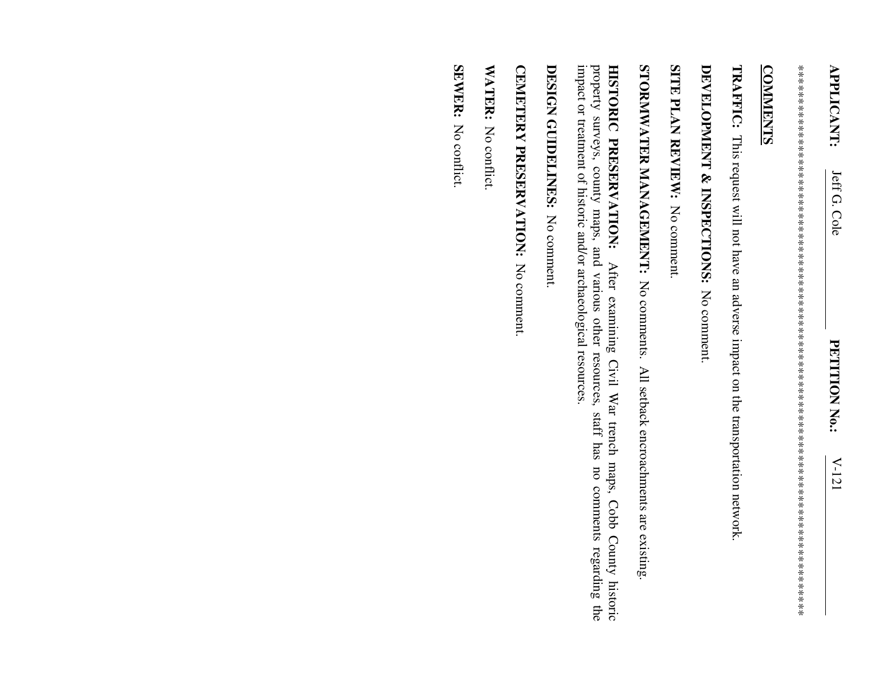\*\*\*\*\*\*\*\*\*\*\*\*\*\*\*\*\*\*\*\*\*\*\*\*\*\*\*\*\*\*\*\*\*\*\*\*\*\*\*\*\*\*\*\*\*\*\*\*\*\*\*\*\*\*\*\*\*\*\*\*\*\*\*\*\*\*\*\*\*\*\*\*\*\*\*\*\*\*\*\*\*\* 

## **COMMENTS COMMENTS**

**TRAFFIC:**  This request will not have an adverse impact on the transportation network.

## DEVELOPMENT & INSPECTIONS: No comment **DEVELOPMENT & INSPECTIONS:** No comment.

**SITE PLAN REVIEW:** No comment. **SITE PLAN REVIEW:** No comment.

STORNIWATER MANAGEMENT: No comments. All setback encroachments are existing **STORMWATER MANAGEMENT:** No comments. All setback encroachments are existing.

impact or treatment of historic and/or archaeological resources property surveys, county maps, and various other resources, staff has no comments regarding the impact or treatment of historic and/or archaeological resources. property surveys, county maps, and various other resources, staff has no comments regarding the HISTORIC PRESERVATION: **HISTORIC PRESERVATION:** After examining Civil War trench maps, Cobb County historic After examining Civil War trench maps, Cobb County historic

DESIGN GUIDELINES: No comment **DESIGN GUIDELINES:** No comment.

CEMETERY PRESERVATION: No comment. **CEMETERY PRESERVATION:** No comment.

WATER: No conflict. **WATER:** No conflict.

SEWER: No conflict. **SEWER:** No conflict.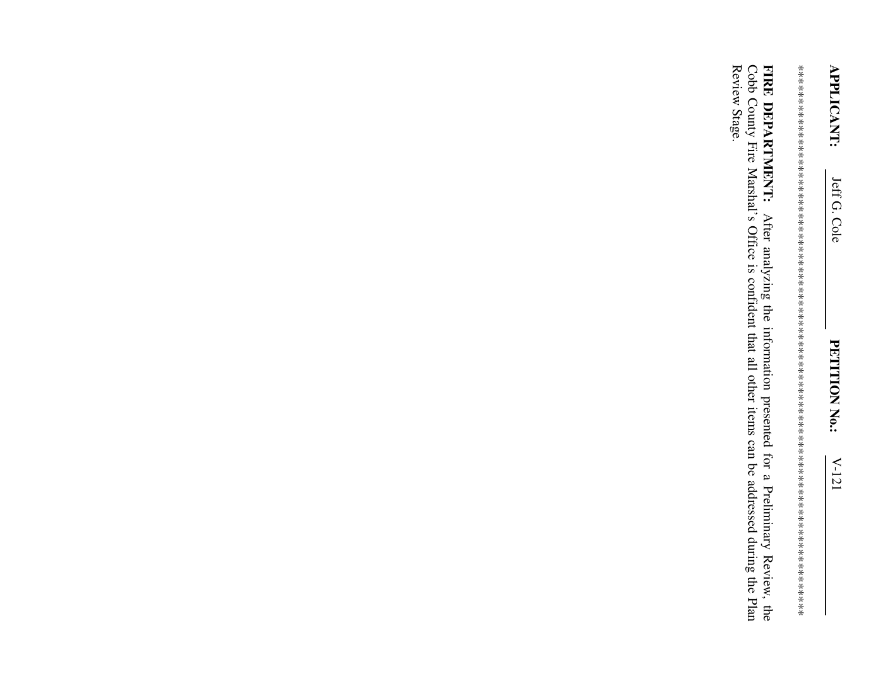Review Stage. FIRE DEPARTMENT: After analyzing the information presented for a Preliminary Review, the Cobb County Fire Marshal's Office is confident that all other items can be addressed during the Plan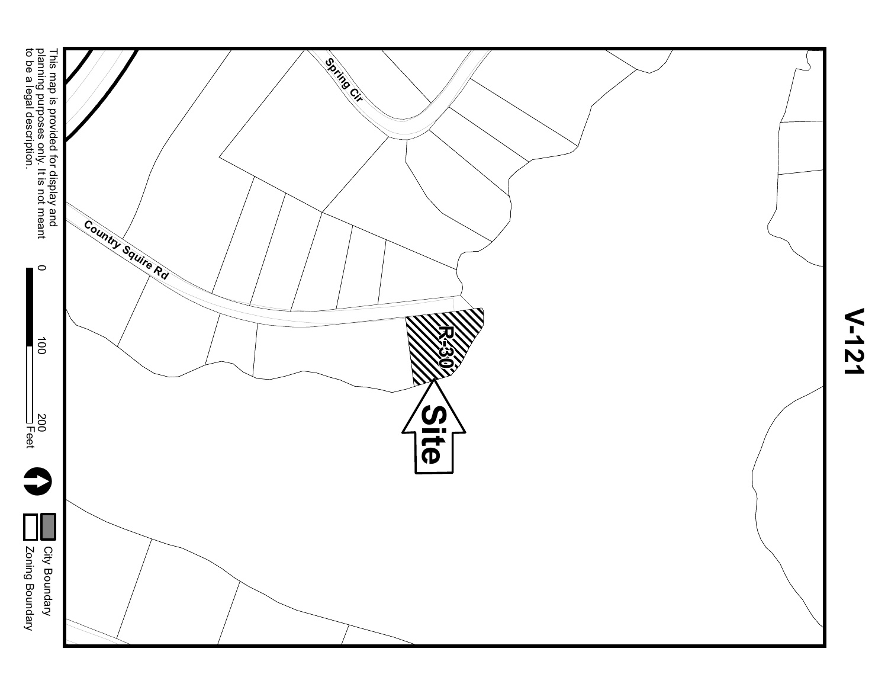